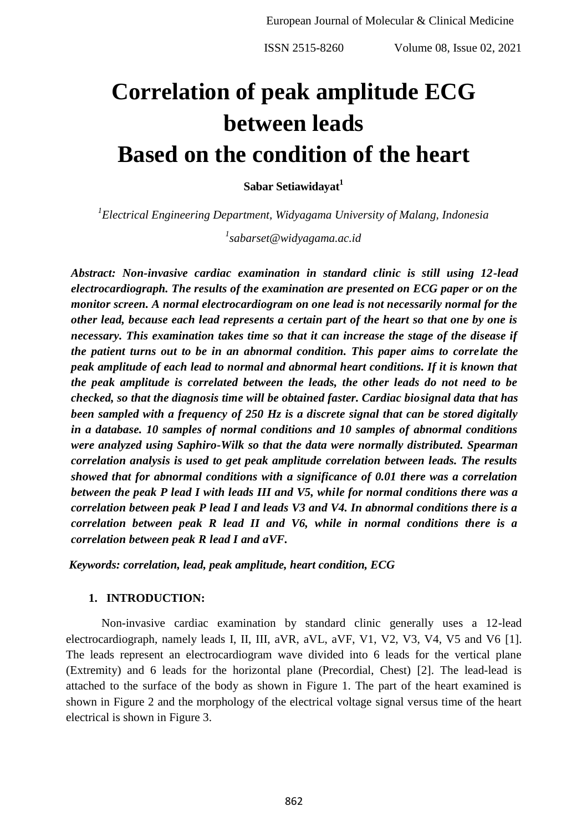# **Correlation of peak amplitude ECG between leads Based on the condition of the heart**

**Sabar Setiawidayat<sup>1</sup>**

*1 Electrical Engineering Department, Widyagama University of Malang, Indonesia*

*1 sabarset@widyagama.ac.id*

*Abstract: Non-invasive cardiac examination in standard clinic is still using 12-lead electrocardiograph. The results of the examination are presented on ECG paper or on the monitor screen. A normal electrocardiogram on one lead is not necessarily normal for the other lead, because each lead represents a certain part of the heart so that one by one is necessary. This examination takes time so that it can increase the stage of the disease if the patient turns out to be in an abnormal condition. This paper aims to correlate the peak amplitude of each lead to normal and abnormal heart conditions. If it is known that the peak amplitude is correlated between the leads, the other leads do not need to be checked, so that the diagnosis time will be obtained faster. Cardiac biosignal data that has been sampled with a frequency of 250 Hz is a discrete signal that can be stored digitally in a database. 10 samples of normal conditions and 10 samples of abnormal conditions were analyzed using Saphiro-Wilk so that the data were normally distributed. Spearman correlation analysis is used to get peak amplitude correlation between leads. The results showed that for abnormal conditions with a significance of 0.01 there was a correlation between the peak P lead I with leads III and V5, while for normal conditions there was a correlation between peak P lead I and leads V3 and V4. In abnormal conditions there is a correlation between peak R lead II and V6, while in normal conditions there is a correlation between peak R lead I and aVF.*

*Keywords: correlation, lead, peak amplitude, heart condition, ECG*

# **1. INTRODUCTION:**

Non-invasive cardiac examination by standard clinic generally uses a 12-lead electrocardiograph, namely leads I, II, III, aVR, aVL, aVF, V1, V2, V3, V4, V5 and V6 [1]. The leads represent an electrocardiogram wave divided into 6 leads for the vertical plane (Extremity) and 6 leads for the horizontal plane (Precordial, Chest) [2]. The lead-lead is attached to the surface of the body as shown in Figure 1. The part of the heart examined is shown in Figure 2 and the morphology of the electrical voltage signal versus time of the heart electrical is shown in Figure 3.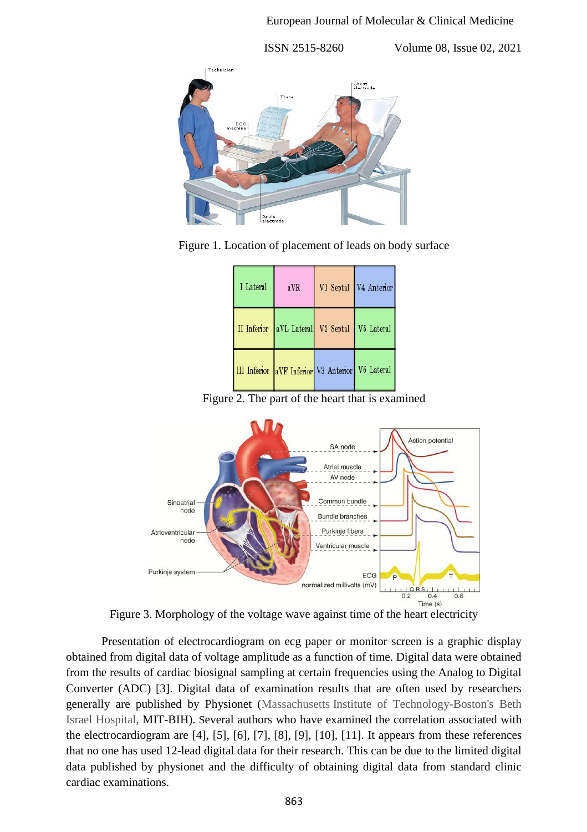

Figure 1. Location of placement of leads on body surface

| I Lateral | aVR                                              | V1 Septal V4 Anterior |
|-----------|--------------------------------------------------|-----------------------|
|           | II Inferior aVL Lateral V2 Septal V5 Lateral     |                       |
|           | III Inferior aVF Inferior V3 Anterior V6 Lateral |                       |

Figure 2. The part of the heart that is examined



Figure 3. Morphology of the voltage wave against time of the heart electricity

Presentation of electrocardiogram on ecg paper or monitor screen is a graphic display obtained from digital data of voltage amplitude as a function of time. Digital data were obtained from the results of cardiac biosignal sampling at certain frequencies using the Analog to Digital Converter (ADC) [3]. Digital data of examination results that are often used by researchers generally are published by Physionet (Massachusetts Institute of Technology-Boston's Beth Israel Hospital, MIT-BIH). Several authors who have examined the correlation associated with the electrocardiogram are [4], [5], [6], [7], [8], [9], [10], [11]. It appears from these references that no one has used 12-lead digital data for their research. This can be due to the limited digital data published by physionet and the difficulty of obtaining digital data from standard clinic cardiac examinations.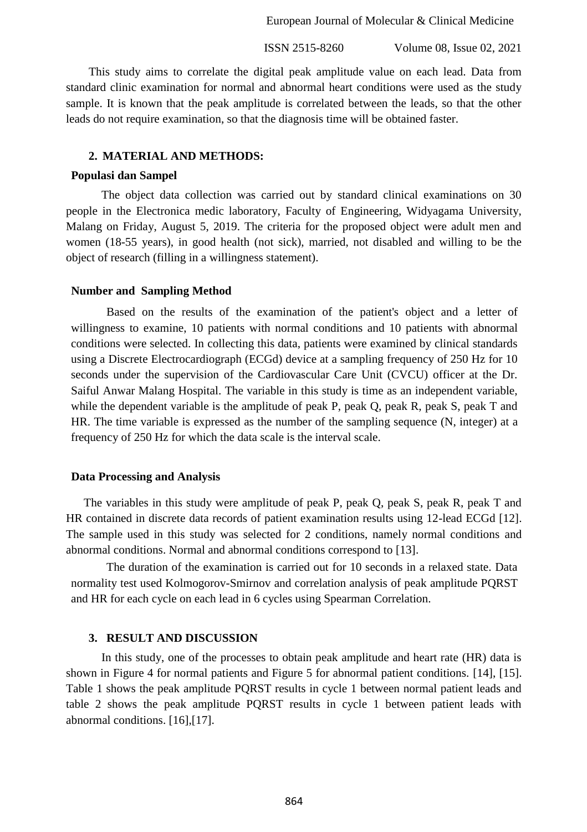European Journal of Molecular & Clinical Medicine

ISSN 2515-8260 Volume 08, Issue 02, 2021

This study aims to correlate the digital peak amplitude value on each lead. Data from standard clinic examination for normal and abnormal heart conditions were used as the study sample. It is known that the peak amplitude is correlated between the leads, so that the other leads do not require examination, so that the diagnosis time will be obtained faster.

#### **2. MATERIAL AND METHODS:**

#### **Populasi dan Sampel**

The object data collection was carried out by standard clinical examinations on 30 people in the Electronica medic laboratory, Faculty of Engineering, Widyagama University, Malang on Friday, August 5, 2019. The criteria for the proposed object were adult men and women (18-55 years), in good health (not sick), married, not disabled and willing to be the object of research (filling in a willingness statement).

#### **Number and Sampling Method**

Based on the results of the examination of the patient's object and a letter of willingness to examine, 10 patients with normal conditions and 10 patients with abnormal conditions were selected. In collecting this data, patients were examined by clinical standards using a Discrete Electrocardiograph (ECGd) device at a sampling frequency of 250 Hz for 10 seconds under the supervision of the Cardiovascular Care Unit (CVCU) officer at the Dr. Saiful Anwar Malang Hospital. The variable in this study is time as an independent variable, while the dependent variable is the amplitude of peak P, peak Q, peak R, peak S, peak T and HR. The time variable is expressed as the number of the sampling sequence (N, integer) at a frequency of 250 Hz for which the data scale is the interval scale.

#### **Data Processing and Analysis**

The variables in this study were amplitude of peak P, peak Q, peak S, peak R, peak T and HR contained in discrete data records of patient examination results using 12-lead ECGd [12]. The sample used in this study was selected for 2 conditions, namely normal conditions and abnormal conditions. Normal and abnormal conditions correspond to [13].

The duration of the examination is carried out for 10 seconds in a relaxed state. Data normality test used Kolmogorov-Smirnov and correlation analysis of peak amplitude PQRST and HR for each cycle on each lead in 6 cycles using Spearman Correlation.

## **3. RESULT AND DISCUSSION**

In this study, one of the processes to obtain peak amplitude and heart rate (HR) data is shown in Figure 4 for normal patients and Figure 5 for abnormal patient conditions. [14], [15]. Table 1 shows the peak amplitude PQRST results in cycle 1 between normal patient leads and table 2 shows the peak amplitude PQRST results in cycle 1 between patient leads with abnormal conditions. [16],[17].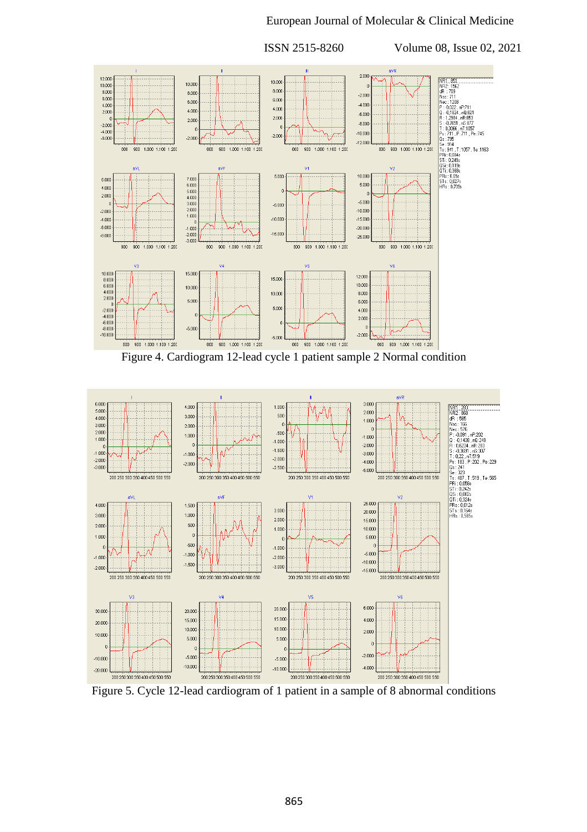### European Journal of Molecular & Clinical Medicine

 ISSN 2515-8260 Volume 08, Issue 02, 2021 aVR NR1:853<br>
MR2:1562<br>
dfl : 7031<br>
Nec: 1209<br>
2: -0.1824, mR3:<br>
2: -0.1824, mR3:<br>
2: -0.1824, mR3:<br>
5: -0.7696. mR3:<br>
5: -0.7696. mR5:<br>
10.245<br>
15: 711, P:711, Pe:745<br>
04: 755<br>
75: 0.145<br>
5: 9:14, T.1057, Te:1163<br>
55: 0.1198<br>  $2.000$  $\begin{array}{r} 12.000 \\ 10.000 \\ 8.000 \\ 6.000 \end{array}$ 10.00 10.000  $8.000$  $8.000$  $-2.000$  $6.00($ 6.000  $4.000$ <br> $2.000$  $-4.000$  $4.000$  $4.000$  $-6.000$  $2.000$  $2.000$  $-8.000$  $-2.000$  $-4.00($  $-10.000$  $-2.000$  $-6.00$  $-2.000$  $-12.000$ 800 900 1.000 1.100 1.200  $sin$  $900$ 1.000 1.100 1.20  $\sin$ 900 1.000 1.100 1.200  $800$ 900 1.000 1.100 1.200 10,000 5.000  $6.000$ 7.000 6,000 5,000  $4.00$ 6.000<br>5.000<br>4.000<br>3.000 2.000  $-5.000$  $-5.000$  $2.000$  $-2.000$  $-10,000$  $-10.000$  $-15.000$  $-4.000$  $-6.000$  $-20.000$  $-1.000$  $-15.00$  $-8.000$  $-2.000$  $-25.000$  $-3.000$  $800$ 900 1.000 1.100 1.20  $800$  $900$ 1.000 1.100 1.200  $800\,$ 900 1.000 1.100 1.200  $800$ 900 1.000 1.100 1.20  $\begin{array}{r} \n 10.000 \\
 8.000 \\
 6.000 \\
 4.000\n \end{array}$ 15,000 12.000 15,000 10,000 10,000  $10.000$ 8.000 2.000 5.000  $6.000$  $-2.000$ <br> $-4.000$ <br> $-6.000$ <br> $-8.000$ <br> $-10.000$  $5.00$ 4.000  $2.000$  $-5.000$  $-2.000$ 900 1.000 1.100 1.20  $\frac{1}{900}$ 1.000 1.100 1.200  $800$ 900 1.000 1.100 1.200  $900$  1.000 1.100  $800$  $\frac{1}{800}$  $1.200$  $800$ 

Figure 4. Cardiogram 12-lead cycle 1 patient sample 2 Normal condition



Figure 5. Cycle 12-lead cardiogram of 1 patient in a sample of 8 abnormal conditions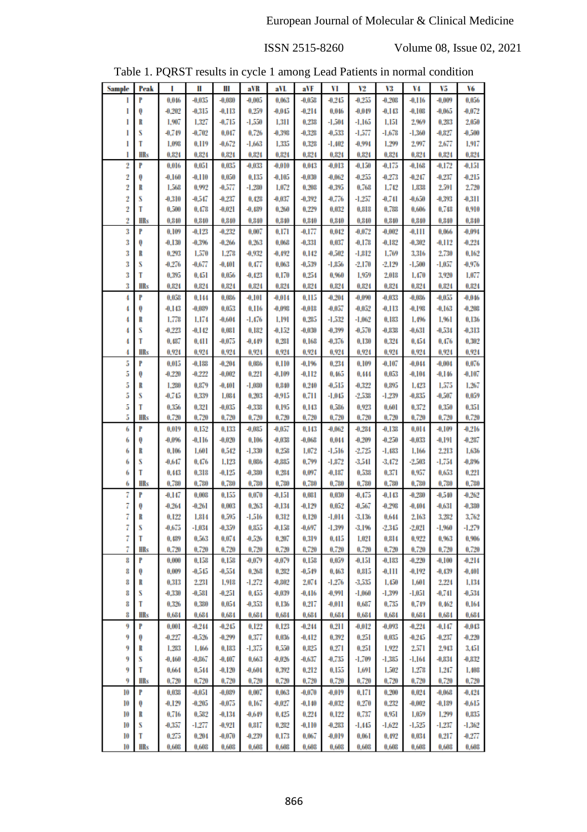| Table 1. PQRST results in cycle 1 among Lead Patients in normal condition |  |
|---------------------------------------------------------------------------|--|
|                                                                           |  |

| <b>Sample</b>  | Peak       | I                 | Ш                    | Ш                 | aVR               | aVL               | aVF               | VI                   | V2                   | V3                | V4                | V5                 | V6                |
|----------------|------------|-------------------|----------------------|-------------------|-------------------|-------------------|-------------------|----------------------|----------------------|-------------------|-------------------|--------------------|-------------------|
| 1              | P          | 0.046             | $-0.035$             | $-0.080$          | $-0.005$          | 0.063             | $-0.058$          | $-0.245$             | $-0.255$             | $-0.208$          | $-0.116$          | $-0.009$           | 0.056             |
| 1              | Q          | $-0.202$          | $-0.315$             | $-0.113$          | 0.259             | $-0.045$          | $-0.214$          | 0.046                | $-0.049$             | $-0.143$          | $-0.108$          | -0,065             | $-0.072$          |
| 1              | R          | 1,907             | 1,327                | -0,715            | $-1,550$          | 1,311             | 0,238             | $-1.504$             | -1,165               | 1,151             | 2,969             | 0.283              | 2,050             |
| 1              | S          | $-0.749$          | $-0.702$             | 0.047             | 0.726             | $-0.398$          | $-0.328$          | $-0.533$             | -1,577               | $-1.678$          | $-1,360$          | $-0.827$           | $-0.500$          |
| 1              | T          | 1,098             | 0.119                | $-0.672$          | $-1.663$          | 1,335             | 0.328             | $-1.402$             | $-0.994$             | 1.299             | 2,997             | 2,677              | 1,917             |
| 1              | HRs        | 0.824             | 0.824                | 0.824             | 0.824             | 0.824             | 0.824             | 0,824                | 0.824                | 0.824             | 0.824             | 0.824              | 0.824             |
| 2              | P          | 0.016             | 0.051                | 0.035             | $-0.033$          | $-0.010$          | 0.043             | $-0.013$             | $-0.150$             | $-0.175$          | $-0.168$          | $-0.172$           | $-0.151$          |
| $\overline{2}$ | 0          | $-0.160$          | $-0.110$             | 0.050             | 0.135             | $-0.105$          | $-0.030$          | $-0.062$             | $-0.255$             | $-0.273$          | $-0.247$          | $-0.237$           | $-0.215$          |
| $\overline{2}$ | R          | 1,568             | 0.992                | $-0.577$          | $-1.280$          | 1,072             | 0,208             | $-0.395$             | 0,768                | 1,742             | 1,838             | 2,591              | 2,720             |
| $\overline{2}$ | S          | $-0.310$          | -0.547               | $-0.237$          | 0.428             | $-0.037$          | $-0.392$          | $-0.776$             | $-1.257$             | $-0.741$          | $-0.650$          | $-0.393$           | $-0.311$          |
| $\overline{2}$ | T          | 0,500             | 0.478                | $-0.021$          | $-0.489$          | 0,260             | 0.229             | 0.032                | 0,818                | 0.788             | 0,606             | 0.748              | 0.910             |
| $\overline{2}$ | <b>HRs</b> | 0,840             | 0,840                | 0,840             | 0,840             | 0,840             | 0,840             | 0.840                | 0,840                | 0,840             | 0,840             | 0,840              | 0.840             |
| 3              | P          | 0.109             | $-0.123$             | $-0.232$          | 0.007             | 0.171             | -0,177            | 0.042                | $-0.072$             | $-0.002$          | -0.111            | 0,066              | $-0.094$          |
| 3              | Q          | $-0.130$          | $-0.396$             | $-0.266$          | 0.263             | 0,068             | -0,331            | 0.037                | $-0.178$             | $-0.182$          | $-0.302$          | $-0.112$           | $-0.224$          |
| 3<br>3         | R<br>S     | 0.293<br>$-0.276$ | 1,570<br>-0,677      | 1,278<br>$-0.401$ | $-0.932$<br>0.477 | $-0.492$<br>0,063 | 0.142<br>-0,539   | $-0.502$<br>$-1.856$ | $-1.812$<br>$-2,170$ | 1,769<br>$-2,129$ | 3,316<br>$-1,500$ | 2,730<br>$-1.057$  | 0.162<br>-0.976   |
| 3              | T          | 0.395             | 0.451                | 0.056             | $-0.423$          | 0.170             | 0,254             | 0,960                | 1,959                | 2,018             | 1,470             | 3,920              | 1,077             |
| 3              | <b>HRs</b> | 0.824             | 0.824                | 0.824             | 0.824             | 0.824             | 0,824             | 0.824                | 0.824                | 0,824             | 0.824             | 0.824              | 0.824             |
| 4              | P          | 0.058             | 0.144                | 0.086             | $-0.101$          | $-0.014$          | 0.115             | $-0.204$             | $-0.090$             | $-0.033$          | $-0.036$          | $-0.055$           | $-0.046$          |
| 4              | Q          | $-0.143$          | $-0.089$             | 0.053             | 0.116             | $-0.098$          | $-0.018$          | $-0.057$             | $-0.052$             | $-0.113$          | $-0.198$          | $-0.163$           | $-0.208$          |
| 4              | R          | 1,778             | 1,174                | $-0.604$          | -1,476            | 1,191             | 0,285             | $-1,532$             | $-1,062$             | 0,183             | 1,496             | 1.961              | 0,136             |
| 4              | S          | $-0.223$          | $-0.142$             | 0.081             | 0.182             | $-0.152$          | $-0.030$          | $-0.399$             | $-0.570$             | $-0.838$          | -0,631            | $-0.534$           | $-0.313$          |
| 4              | T          | 0.487             | 0.411                | $-0.075$          | $-0.449$          | 0,281             | 0.168             | $-0.376$             | 0,130                | 0,324             | 0.454             | 0.476              | 0.302             |
| 4              | HRs        | 0.924             | 0.924                | 0.924             | 0.924             | 0.924             | 0.924             | 0.924                | 0.924                | 0.924             | 0.924             | 0.924              | 0.924             |
| 5              | P          | 0.015             | $-0.188$             | $-0.204$          | 0.086             | 0.110             | -0,196            | 0.234                | 0,109                | $-0.107$          | $-0.044$          | $-0.004$           | 0.076             |
| 5              | Q          | $-0.220$          | $-0.222$             | $-0.002$          | 0.221             | $-0.109$          | $-0.112$          | 0.465                | 0.444                | 0.053             | $-0.104$          | $-0.146$           | $-0.107$          |
| 5              | R          | 1,230             | 0.879                | $-0.401$          | $-1,030$          | 0,840             | 0.240             | -0.515               | $-0.322$             | 0,895             | 1.423             | 1,575              | 1,267             |
| 5              | S          | $-0.745$          | 0,339                | 1,084             | 0,203             | -0.915            | 0.711             | -1,045               | $-2,538$             | $-1.239$          | -0,835            | $-0.507$           | 0,059             |
| 5              | Т          | 0,356             | 0.321                | $-0.035$          | $-0.338$          | 0,195             | 0.143             | 0,586                | 0.923                | 0,601             | 0.372             | 0.350              | 0.351             |
| 5              | HRs        | 0.720             | 0.720                | 0.720             | 0.720             | 0.720             | 0.720             | 0.720                | 0,720                | 0.720             | 0.720             | 0.720              | 0.720             |
| 6              | P          | 0.019             | 0,152                | 0.133             | $-0.085$          | $-0.057$          | 0.143             | $-0.062$             | $-0.284$             | $-0.138$          | 0.014             | $-0.109$           | $-0.216$          |
| 6              | Q          | $-0.096$          | $-0.116$             | $-0.020$          | 0.106             | $-0.038$          | $-0.068$          | 0.044                | $-0.209$             | $-0.250$          | $-0.033$          | -0,191             | $-0.287$          |
| 6              | R<br>S     | 0,106             | 1,601<br>0.476       | 0.542<br>1.123    | $-1,330$<br>0,036 | 0.258<br>$-0.885$ | 1.072<br>0.799    | -1,516               | $-2,725$<br>$-3,541$ | -1,483            | 1,166<br>$-2,503$ | 2,213<br>-1.754    | 1,636<br>$-0.896$ |
| 6<br>6         | T          | -0.647<br>0.443   | 0.318                | $-0.125$          | $-0.380$          | 0.284             | 0.097             | $-1,872$<br>$-0.187$ | 0,538                | $-3.472$<br>0.371 | 0.957             | 0.653              | 0.221             |
| 6              | <b>HRs</b> | 0.780             | 0,780                | 0,780             | 0.780             | 0.780             | 0.780             | 0,780                | 0,780                | 0.780             | 0,780             | 0.780              | 0.780             |
| 7              | P          | -0.147            | 0,008                | 0.155             | 0.070             | -0.151            | 0.081             | 0.030                | -0.475               | $-0.143$          | $-0.280$          | -0,540             | $-0.262$          |
| 7              | Q          | $-0.264$          | $-0.261$             | 0.003             | 0.263             | -0,134            | $-0.129$          | 0.052                | $-0.567$             | $-0.298$          | $-0.404$          | $-0.631$           | $-0.380$          |
| 7              | R          | 0.122             | 1,814                | 0,595             | $-1.516$          | 0.312             | 0,120             | $-1.014$             | -3,136               | 0.644             | 2,163             | 3,282              | 3,762             |
| 7              | S          | -0,675            | $-1.034$             | $-0.359$          | 0,855             | $-0.158$          | -0,697            | -1,399               | -3,196               | $-2.345$          | $-2,021$          | $-1,960$           | $-1,279$          |
| 7              | T          | 0.489             | 0.563                | 0.074             | $-0.526$          | 0.207             | 0,319             | 0,415                | 1,021                | 0,814             | 0.922             | 0,963              | 0,906             |
| 7              | HRs        | 0.720             | 0.720                | 0,720             | 0.720             | 0.720             | 0.720             | 0.720                | 0,720                | 0.720             | 0,720             | 0,720              | 0.720             |
| 8              | P          | 0,000             | 0,158                | 0,158             | -0.079            | -0,079            | 0,158             | 0,059                | $-0.151$             | $-0.183$          | $-0.220$          | $-0.100$           | $-0.214$          |
| 8              | Q          | 0,009             | $-0.545$             | $-0,554$          | 0.268             | 0.282             | $-0,549$          | 0.463                | 0,815                | $-0.111$          | $-0.192$          | $-0.439$           | $-0.401$          |
| 8              | R          | 0,313             | 2,231                | 1,918             | $-1,272$          | $-0.802$          | 2,074             | $-1.276$             | $-3,535$             | 1,450             | 1,601             | 2,224              | 1,134             |
| 8              | S          | $-0.330$          | $-0.581$             | $-0,251$          | 0.455             | $-0.039$          | $-0.416$          | -0.991               | $-1,060$             | $-1,399$          | -1,051            | $-0.741$           | $-0.534$          |
| 8              | T          | 0,326             | 0,380                | 0.054             | $-0.353$          | 0,136             | 0,217             | -0.011               | 0,687                | 0,735             | 0,749             | 0.462              | 0,164             |
| 8              | HRs        | 0.684             | 0,684                | 0,684             | 0,684             | 0,684             | 0,684             | 0,684                | 0,684                | 0,684             | 0,684             | 0,684              | 0,684             |
| 9<br>9         | P          | 0.001<br>$-0.227$ | $-0.244$<br>$-0.526$ | $-0.245$          | 0,122             | 0,123             | $-0.244$          | 0,211                | $-0.012$             | $-0.093$          | $-0.224$          | -0,147<br>$-0.237$ | $-0.043$          |
| 9              | Q          | 1,283             | 1,466                | $-0.299$          | 0.377<br>$-1,375$ | 0,036<br>0,550    | $-0.412$<br>0,825 | 0.392<br>0,271       | 0,251<br>0,251       | 0.035<br>1,922    | $-0.245$<br>2,571 | 2,943              | $-0.220$          |
| 9              | R<br>S     | $-0.460$          | $-0.867$             | 0,183<br>$-0.407$ | 0,663             | $-0.026$          | -0,637            | $-0.735$             | $-1,709$             | $-1,385$          | -1,164            | $-0.834$           | 3,451<br>$-0.832$ |
| 9              | T          | 0,664             | 0,544                | $-0.120$          | $-0.604$          | 0,392             | 0,212             | 0,155                | 1,691                | 1,502             | 1,278             | 1,247              | 1,408             |
| 9              | <b>HRs</b> | 0,720             | 0.720                | 0,720             | 0,720             | 0.720             | 0,720             | 0,720                | 0,720                | 0,720             | 0,720             | 0,720              | 0,720             |
| 10             | P          | 0,038             | -0,051               | $-0.089$          | 0,007             | 0,063             | $-0.070$          | -0,019               | 0,171                | 0.200             | 0.024             | $-0.068$           | $-0.424$          |
| 10             | Q          | $-0.129$          | $-0.205$             | $-0.075$          | 0,167             | $-0.027$          | $-0.140$          | $-0.032$             | 0,270                | 0,232             | $-0.002$          | $-0.189$           | -0,615            |
| 10             | R          | 0,716             | 0,582                | $-0.134$          | -0,649            | 0.425             | 0.224             | 0,122                | 0,737                | 0,951             | 1,059             | 1,299              | 0,835             |
| 10             | S          | $-0.357$          | $-1,277$             | $-0.921$          | 0,817             | 0.282             | $-0,110$          | $-0.283$             | $-1,445$             | $-1,622$          | $-1,525$          | $-1,237$           | $-1,362$          |
| 10             | T          | 0.275             | 0,204                | $-0.070$          | $-0.239$          | 0,173             | 0,067             | $-0.019$             | 0,061                | 0.492             | 0,034             | 0,217              | $-0.277$          |
| 10             | HRs        | 0,608             | 0,608                | 0,608             | 0,608             | 0,608             | 0,608             | 0,608                | 0,608                | 0,608             | 0,608             | 0,608              | 0,608             |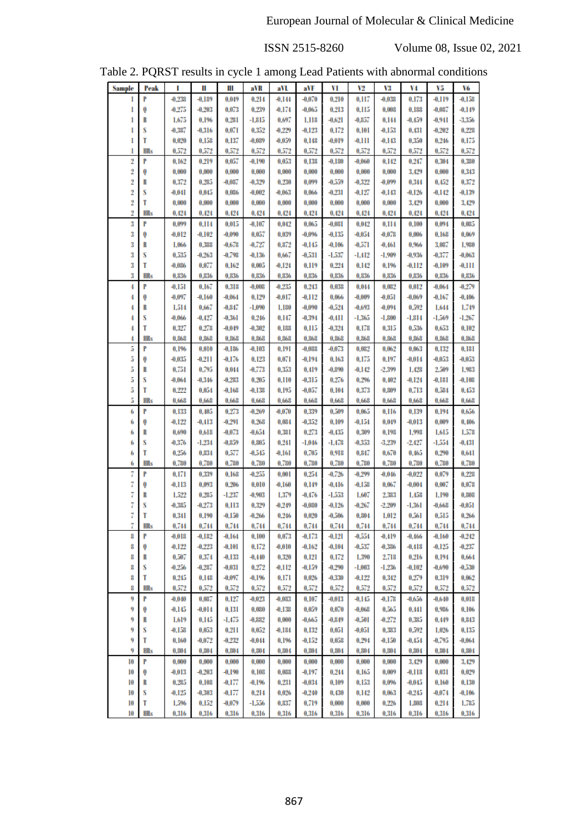|  | Table 2. PQRST results in cycle 1 among Lead Patients with abnormal conditions |  |  |  |  |
|--|--------------------------------------------------------------------------------|--|--|--|--|
|  |                                                                                |  |  |  |  |

| <b>Sample</b> | Peak       | I        | Ш        | Ш        | aVR      | aVL      | aVF      | VI       | V2       | V3       | V4       | V5       | V6       |
|---------------|------------|----------|----------|----------|----------|----------|----------|----------|----------|----------|----------|----------|----------|
|               | P          |          |          |          |          |          |          |          |          | $-0.038$ |          |          |          |
| 1             |            | $-0.238$ | $-0.189$ | 0.049    | 0.214    | $-0.144$ | $-0.070$ | 0.210    | 0.117    |          | 0.173    | $-0.119$ | $-0.158$ |
| 1             | Q          | $-0.275$ | $-0.203$ | 0.073    | 0.239    | $-0.174$ | $-0.065$ | 0.213    | 0.115    | 0.008    | 0.188    | $-0.087$ | $-0.149$ |
| 1             | R          | 1.675    | 0,196    | 0.281    | -1,815   | 0.697    | 1.118    | -0,621   | $-0.857$ | 0.144    | -0.459   | $-0.941$ | $-3.356$ |
| 1             | S          | $-0.387$ | -0,316   | 0.071    | 0.352    | $-0.229$ | $-0.123$ | 0.172    | 0.101    | $-0.153$ | 0.431    | $-0.202$ | 0.228    |
| 1             | T          | 0.020    | 0,158    | 0.137    | $-0.089$ | $-0.059$ | 0.148    | -0.019   | $-0.111$ | $-0.143$ | 0,350    | 0.246    | 0.175    |
| 1             | HRs        | 0.572    | 0,572    | 0.572    | 0.572    | 0.572    | 0,572    | 0,572    | 0.572    | 0.572    | 0,572    | 0,572    | 0,572    |
| 2             | P          | 0.162    | 0.219    | 0.057    | -0,190   | 0.053    | 0.138    | $-0.180$ | $-0.060$ | 0.142    | 0.247    | 0.304    | 0,380    |
| 2             | 0          | 0.000    | 0.000    | 0.000    | 0.000    | 0.000    | 0.000    | 0.000    | 0.000    | 0.000    | 3,429    | 0.000    | 0.343    |
| 2             | R          | 0.372    | 0.285    | $-0.087$ | $-0.329$ | 0.230    | 0.099    | -0,559   | $-0.322$ | $-0.099$ | 0.344    | 0.452    | 0,372    |
| 2             | S          | $-0.041$ | 0.045    | 0.086    | $-0.002$ | $-0.063$ | 0.066    | $-0.231$ | $-0.127$ | -0.143   | $-0.126$ | $-0.142$ | $-0.139$ |
| 2             | T          | 0.000    | 0.000    | 0.000    | 0.000    | 0.000    | 0.000    | 0.000    | 0.000    | 0.000    | 3,429    | 0.000    | 3.429    |
| 2             | <b>HRs</b> | 0.424    | 0.424    | 0.424    | 0.424    | 0.424    | 0.424    | 0.424    | 0.424    | 0.424    | 0.424    | 0.424    | 0.424    |
| 3             | P          | 0.099    | 0.114    | 0,015    | $-0.107$ | 0.042    | 0,065    | $-0.081$ | 0.042    | 0.114    | 0,100    | 0.094    | 0,085    |
| 3             | 0          | $-0.012$ | $-0.102$ | $-0.090$ | 0.057    | 0,039    | $-0.096$ | -0.135   | $-0.054$ | $-0.078$ | 0.006    | 0.168    | 0.069    |
| 3             | R          | 1,066    | 0,388    | $-0.678$ | $-0.727$ | 0,872    | -0,145   | $-0.106$ | $-0.571$ | $-0.461$ | 0,966    | 3,087    | 1,980    |
|               | S          |          |          |          |          |          |          |          |          |          |          |          |          |
| 3             |            | 0.535    | $-0.263$ | $-0.798$ | $-0.136$ | 0.667    | $-0.531$ | -1,537   | $-1.412$ | $-1.909$ | -0.936   | $-0.377$ | $-0.063$ |
| 3             | T          | $-0.086$ | 0.077    | 0.162    | 0.005    | $-0.124$ | 0.119    | 0.224    | 0.142    | 0.196    | $-0.112$ | $-0.109$ | $-0.111$ |
| 3             | <b>HRs</b> | 0.836    | 0,836    | 0,836    | 0.836    | 0,836    | 0,836    | 0.836    | 0.836    | 0.836    | 0,836    | 0.836    | 0.836    |
| 4             | P          | -0.151   | 0.167    | 0.318    | $-0.008$ | $-0.235$ | 0.243    | 0.038    | 0.044    | 0.082    | 0.012    | $-0.064$ | $-0.279$ |
| 4             | Q          | -0.097   | $-0.160$ | $-0.064$ | 0,129    | -0,017   | $-0.112$ | 0,066    | $-0.009$ | -0.051   | $-0.069$ | -0.167   | $-0.406$ |
| 4             | R          | 1,514    | 0,667    | $-0.847$ | $-1.090$ | 1.180    | $-0.090$ | $-0.524$ | $-0.693$ | $-0.094$ | 0.592    | 1.644    | 1,749    |
| 4             | S          | -0,066   | -0.427   | $-0.361$ | 0.246    | 0,147    | $-0.394$ | -0.411   | -1,365   | $-1.800$ | -1,814   | -1.569   | $-1.267$ |
| 4             | T          | 0.327    | 0.278    | $-0.049$ | $-0.302$ | 0.188    | 0.115    | $-0.324$ | 0.178    | 0.315    | 0.536    | 0.653    | 0.102    |
| 4             | HRs        | 0.868    | 0,868    | 0.868    | 0.868    | 0.868    | 0.868    | 0.868    | 0.868    | 0,868    | 0,868    | 0.868    | 0,868    |
| 5             | P          | 0.196    | 0.010    | -0,186   | -0,103   | 0.191    | $-0.088$ | -0.073   | 0.082    | 0.062    | 0.063    | 0.132    | 0.181    |
| 5             | 0          | $-0.035$ | -0.211   | -0,176   | 0.123    | 0.071    | $-0.194$ | 0.163    | 0,175    | 0.197    | -0.014   | $-0.053$ | $-0.053$ |
| 5             | R          | 0.751    | 0.795    | 0.044    | $-0.773$ | 0.353    | 0.419    | $-0.890$ | $-0.142$ | $-2.399$ | 1.428    | 2,509    | 1,983    |
| 5             | S          | $-0.064$ | $-0.346$ | $-0.283$ | 0,205    | 0.110    | $-0.315$ | 0.276    | 0.296    | 0.402    | $-0.124$ | $-0.181$ | $-0.108$ |
| 5             | T          | 0.222    | 0.054    | $-0.168$ | $-0.138$ | 0.195    | $-0.057$ | 0.104    | 0.373    | 0.809    | 0.713    | 0,584    | 0,453    |
| 5             | <b>HRs</b> | 0,668    | 0,668    | 0.668    | 0.668    | 0.668    | 0,668    | 0.668    | 0,668    | 0.668    | 0,668    | 0.668    | 0.668    |
| 6             | P          | 0.133    | 0.405    | 0.273    | $-0.269$ | $-0.070$ | 0.339    | 0.509    | 0.065    | 0.116    | 0.139    | 0.194    | 0.656    |
|               |            |          |          |          |          | 0.084    |          | 0.109    |          |          |          | 0.009    |          |
| 6             | 0          | $-0.122$ | -0.413   | $-0.291$ | 0.268    |          | $-0.352$ |          | -0.154   | 0.049    | -0.013   |          | 0.406    |
| 6             | R          | 0,690    | 0,618    | $-0.073$ | $-0.654$ | 0.381    | 0.273    | $-0.435$ | 0,309    | 0.198    | 1,998    | 1.615    | 1,578    |
| 6             | S          | $-0.376$ | $-1.234$ | $-0.859$ | 0.805    | 0.241    | $-1.046$ | $-1.478$ | $-0.353$ | $-3.239$ | $-2.427$ | $-1.554$ | $-0.431$ |
| 6             | T          | 0.256    | 0.834    | 0,577    | $-0.545$ | $-0.161$ | 0.705    | 0.918    | 0.847    | 0.670    | 0.465    | 0.290    | 0.641    |
| 6             | <b>HRs</b> | 0,780    | 0.780    | 0.780    | 0.780    | 0.780    | 0.780    | 0.780    | 0.780    | 0.780    | 0,780    | 0.780    | 0,780    |
| 7             | P          | 0.171    | 0,339    | 0.168    | $-0.255$ | 0.001    | 0.254    | $-0.726$ | $-0.299$ | -0,046   | $-0.022$ | 0.079    | 0.228    |
| 7             | 0          | -0.113   | 0.093    | 0.206    | 0.010    | $-0.160$ | 0.149    | $-0.416$ | $-0.158$ | 0.067    | $-0.004$ | 0,007    | 0.078    |
| 7             | R          | 1,522    | 0.285    | $-1.237$ | $-0.903$ | 1,379    | -0.476   | $-1,553$ | 1,607    | 2,383    | 1,458    | 1.190    | 0,808    |
| 7             | S          | $-0.385$ | $-0.273$ | 0.113    | 0,329    | $-0.249$ | $-0.030$ | $-0.126$ | $-0.267$ | $-2,209$ | -1,361   | $-0.668$ | $-0.051$ |
| 7             | T          | 0.341    | 0,190    | $-0.150$ | $-0.266$ | 0.246    | 0.020    | $-0.506$ | 0.804    | 1.012    | 0,561    | 0,515    | 0,266    |
| 7             | <b>HRs</b> | 0.744    | 0.744    | 0.744    | 0.744    | 0.744    | 0.744    | 0.744    | 0.744    | 0.744    | 0.744    | 0.744    | 0.744    |
| 8             | P          | -0,018   | -0.182   | -0.164   | 0.100    | 0.073    | -0.173   | -0.121   | $-0.554$ | -0.419   | -0,466   | -0,160   | $-0.242$ |
| 8             | 0          | $-0.122$ | $-0.223$ | $-0.101$ | 0.172    | $-0.010$ | $-0.162$ | $-0.104$ | $-0.537$ | $-0.336$ | $-0.418$ | -0.125   | $-0.237$ |
| 8             | R          | 0.507    | 0.374    | $-0.133$ | $-0.440$ | 0.320    | 0.121    | 0.172    | 1,390    | 2,718    | 0.216    | 0.194    | 0.664    |
| 8             | S          | $-0.256$ | $-0.287$ | $-0.031$ | 0,272    | -0.112   | $-0.159$ | $-0.290$ | -1,003   | $-1.236$ | $-0.102$ | $-0.690$ | $-0.530$ |
| 8             | т          | 0.245    | 0.148    | $-0.097$ | $-0.196$ | 0.171    | 0.026    | $-0.330$ | $-0.122$ | 0.342    | 0,279    | 0,319    | 0.062    |
| 8             | HRs        | 0.572    | 0.572    | 0.572    | 0.572    | 0,572    | 0,572    | 0.572    | 0.572    | 0.572    | 0,572    | 0,572    | 0.572    |
| 9             | P          | $-0.040$ | 0,087    | 0.127    | $-0.023$ | $-0.083$ | 0.107    | -0,013   | -0.145   | $-0.178$ | -0.656   | $-0.640$ | 0.018    |
| 9             | 0          | -0.145   | $-0.014$ | 0,131    | 0.080    | $-0.138$ | 0.059    | 0.070    | $-0.068$ | 0,565    | 0.441    | 0.986    | 0.106    |
| 9             | R          | 1,619    | 0.145    | -1,475   | $-0.882$ | 0.000    | -0,665   | $-0.849$ | $-0.501$ | $-0.272$ | 0,385    | 0.449    | 0.843    |
| 9             | S          | $-0.158$ | 0.053    | 0.211    | 0.052    | $-0.184$ | 0.132    | 0.051    | $-0.051$ | 0,383    | 0.592    | 1.026    | 0.135    |
| 9             | T          | 0.160    | $-0.072$ | $-0.232$ | $-0.044$ | 0.196    | $-0.152$ | 0.058    | 0.294    | $-0.150$ | $-0.454$ | $-0.795$ | $-0.064$ |
| 9             | HRs        | 0.804    | 0,804    | 0.804    | 0.804    | 0.804    | 0.804    | 0.804    | 0.804    | 0.804    | 0,804    | 0.804    | 0.804    |
|               |            |          |          |          |          |          |          |          |          |          |          |          |          |
| 10            | P          | 0.000    | 0.000    | 0.000    | 0.000    | 0.000    | 0.000    | 0.000    | 0.000    | 0.000    | 3,429    | 0.000    | 3.429    |
| 10            | 0          | -0,013   | $-0.203$ | $-0.190$ | 0.108    | 0.088    | $-0.197$ | 0.244    | 0.165    | 0.009    | $-0.118$ | 0.031    | 0.029    |
| 10            | R          | 0.285    | 0.108    | -0,177   | -0,196   | 0.231    | $-0.034$ | 0,109    | 0.153    | 0.096    | $-0.045$ | 0.160    | 0.130    |
| 10            | s          | -0.125   | $-0.303$ | -0,177   | 0.214    | 0.026    | $-0.240$ | 0.430    | 0.142    | 0.063    | $-0.245$ | $-0.074$ | $-0.106$ |
| 10            | T          | 1,596    | 0,152    | $-0.079$ | -1,556   | 0.837    | 0.719    | 0.000    | 0.000    | 0.226    | 1,808    | 0,214    | 1,785    |
| 10            | <b>HRs</b> | 0.316    | 0.316    | 0.316    | 0.316    | 0.316    | 0.316    | 0.316    | 0.316    | 0.316    | 0.316    | 0.316    | 0.316    |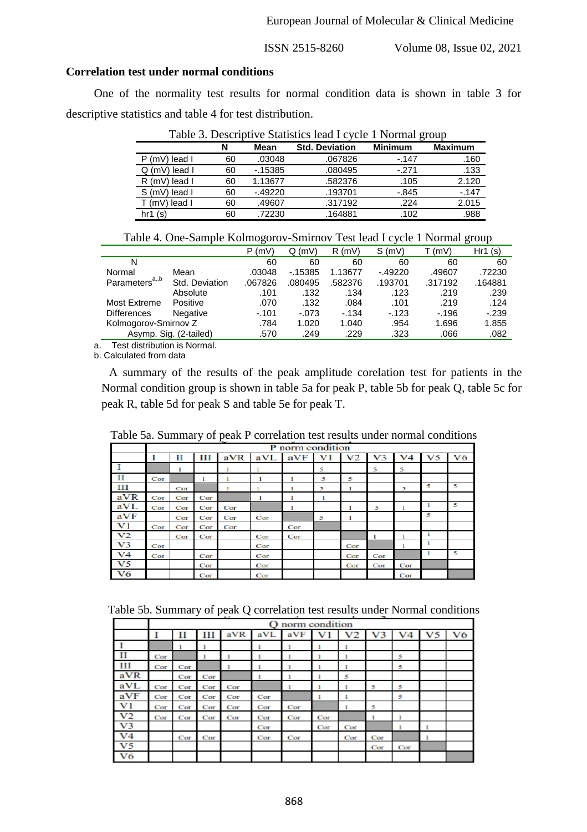### **Correlation test under normal conditions**

One of the normality test results for normal condition data is shown in table 3 for descriptive statistics and table 4 for test distribution.

|                             | N  | Mean     | <b>Std. Deviation</b> | <b>Minimum</b> | <b>Maximum</b> |
|-----------------------------|----|----------|-----------------------|----------------|----------------|
| $P(mV)$ lead I              | 60 | .03048   | .067826               | $-147$         | .160           |
| lead I<br>. (mV) $^{\circ}$ | 60 | $-15385$ | .080495               | $-.271$        | .133           |
| R (mV) lead I               | 60 | 1.13677  | .582376               | .105           | 2.120          |
| S (mV)<br>lead I            | 60 | $-49220$ | .193701               | $-0.845$       | $-147$         |
| T (mV) lead l               | 60 | .49607   | .317192               | .224           | 2.015          |
| hr1 (s)                     | 60 | .72230   | .164881               | .102           | .988           |

Table 4. One-Sample Kolmogorov-Smirnov Test lead I cycle 1 Normal group

|                                                                                                                                                                                                                                |                        | ັ       |          |         |          |         | ັ       |
|--------------------------------------------------------------------------------------------------------------------------------------------------------------------------------------------------------------------------------|------------------------|---------|----------|---------|----------|---------|---------|
|                                                                                                                                                                                                                                |                        | P(mV)   | Q(mV)    | R(mV)   | S(mV)    | (mV)    | Hr1(s)  |
| N                                                                                                                                                                                                                              |                        | 60      | 60       | 60      | 60       | 60      | 60      |
| Normal                                                                                                                                                                                                                         | Mean                   | .03048  | $-15385$ | 1.13677 | $-49220$ | .49607  | .72230  |
| Parameters <sup>a,,b</sup>                                                                                                                                                                                                     | Std. Deviation         | .067826 | .080495  | .582376 | .193701  | .317192 | .164881 |
|                                                                                                                                                                                                                                | Absolute               | .101    | .132     | .134    | .123     | .219    | .239    |
| Most Extreme                                                                                                                                                                                                                   | Positive               | .070    | .132     | .084    | .101     | .219    | .124    |
| <b>Differences</b>                                                                                                                                                                                                             | Negative               | $-.101$ | $-073$   | $-134$  | $-123$   | $-196$  | $-239$  |
| Kolmogorov-Smirnov Z                                                                                                                                                                                                           |                        | .784    | 1.020    | 1.040   | .954     | 1.696   | 1.855   |
|                                                                                                                                                                                                                                | Asymp. Sig. (2-tailed) | .570    | .249     | .229    | .323     | .066    | .082    |
| The control of control of the collection of the collection of the collection of the collection of the collection of the collection of the collection of the collection of the collection of the collection of the collection o |                        |         |          |         |          |         |         |

a. Test distribution is Normal.

b. Calculated from data

A summary of the results of the peak amplitude corelation test for patients in the Normal condition group is shown in table 5a for peak P, table 5b for peak Q, table 5c for peak R, table 5d for peak S and table 5e for peak T.

Table 5a. Summary of peak P correlation test results under normal conditions

|                |     |     |     |     |     | P norm condition |   |     |     |     |   |    |
|----------------|-----|-----|-----|-----|-----|------------------|---|-----|-----|-----|---|----|
|                |     | П   | Ш   | aVR | aVL | aVF              | v |     | '3  |     |   | V6 |
|                |     |     |     |     |     |                  | 5 |     | 5   | 5   |   |    |
| П              | Cor |     |     |     | ı   |                  | 5 | 5   |     |     |   |    |
| ш              |     | Cor |     |     |     |                  | 5 |     |     | 5   | 5 | 5  |
| aVR            | Cor | Cor | Cor |     | ı   |                  | ı |     |     |     |   |    |
| aVL            | Cor | Cor | Cor | Cor |     |                  |   |     | 5   |     |   | 5  |
| aVF            |     | Cor | Cor | Cor | Cor |                  | 5 |     |     |     | 5 |    |
| V1             | Cor | Cor | Cor | Cor |     | Cor              |   |     |     |     |   |    |
| V <sub>2</sub> |     | Cor | Cor |     | Cor | Cor              |   |     |     |     |   |    |
| V3             | Cor |     |     |     | Cor |                  |   | Cor |     |     |   |    |
| V <sub>4</sub> | Cor |     | Cor |     | Cor |                  |   | Cor | Cor |     |   | 5  |
| V5             |     |     | Cor |     | Cor |                  |   | Cor | Cor | Cor |   |    |
| V6             |     |     | Cor |     | Cor |                  |   |     |     | Cor |   |    |

Table 5b. Summary of peak Q correlation test results under Normal conditions

|     |     | O norm condition |     |     |     |     |     |     |                |     |                |    |  |
|-----|-----|------------------|-----|-----|-----|-----|-----|-----|----------------|-----|----------------|----|--|
|     |     | П                | Ш   | aVR | aVL | aVF | v   | V2  | V <sub>3</sub> | V4  | V <sub>5</sub> | V6 |  |
|     |     |                  |     |     |     |     |     |     |                |     |                |    |  |
| П   | Cor |                  |     |     |     |     |     |     |                | 5   |                |    |  |
| ш   | Cor | Cor              |     |     |     |     |     |     |                | 5   |                |    |  |
| aVR |     | Cor              | Cor |     |     |     |     | 5   |                |     |                |    |  |
| aVL | Cor | Cor              | Cor | Cor |     |     |     |     | 5              | 5   |                |    |  |
| aVF | Cor | Cor              | Cor | Cor | Cor |     |     |     |                | 5   |                |    |  |
| V1  | Cor | Cor              | Cor | Cor | Cor | Cor |     |     | 5              |     |                |    |  |
| V2  | Cor | Cor              | Cor | Cor | Cor | Cor | Cor |     |                |     |                |    |  |
| V3  |     |                  |     |     | Cor |     | Cor | Cor |                |     |                |    |  |
| V4  |     | Cor              | Cor |     | Cor | Cor |     | Cor | Cor            |     |                |    |  |
| V5  |     |                  |     |     |     |     |     |     | Cor            | Cor |                |    |  |
| V6  |     |                  |     |     |     |     |     |     |                |     |                |    |  |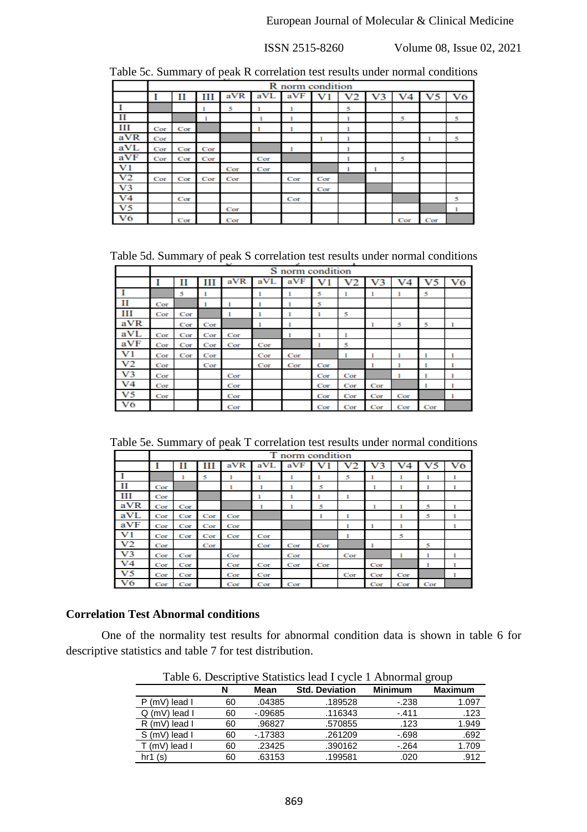|                |     | <b>R</b> norm condition |     |     |     |     |                |                |  |     |     |    |
|----------------|-----|-------------------------|-----|-----|-----|-----|----------------|----------------|--|-----|-----|----|
|                |     | П                       | Ш   | aVR | aVL | aVF | V <sub>1</sub> | V <sub>2</sub> |  |     | V5  | V6 |
|                |     |                         |     | 5   |     |     |                | 5              |  |     |     |    |
| П              |     |                         |     |     |     |     |                |                |  | 5   |     | 5  |
| Ш              | Cor | Cor                     |     |     |     |     |                |                |  |     |     |    |
| aVR            | Cor |                         |     |     |     |     |                |                |  |     |     | 5  |
| aVL            | Cor | Cor                     | Cor |     |     |     |                |                |  |     |     |    |
| aVF            | Cor | Cor                     | Cor |     | Cor |     |                |                |  | 5   |     |    |
| $_{\rm V1}$    |     |                         |     | Cor | Cor |     |                |                |  |     |     |    |
| V <sub>2</sub> | Cor | Cor                     | Cor | Cor |     | Cor | Cor            |                |  |     |     |    |
| V <sub>3</sub> |     |                         |     |     |     |     | Cor            |                |  |     |     |    |
| V <sub>4</sub> |     | Cor                     |     |     |     | Cor |                |                |  |     |     | 5  |
| V5             |     |                         |     | Cor |     |     |                |                |  |     |     |    |
| V6             |     | Cor                     |     | Cor |     |     |                |                |  | Cor | Cor |    |

Table 5c. Summary of peak R correlation test results under normal conditions

Table 5d. Summary of peak S correlation test results under normal conditions

|                |     |     |     |     |     | S norm condition |     |     |     |     |     |    |
|----------------|-----|-----|-----|-----|-----|------------------|-----|-----|-----|-----|-----|----|
|                |     | П   | ш   | aVR | aVL | aVF              |     |     | V3  |     | V5  | V6 |
|                |     | 5   |     |     | ı   |                  | 5   |     |     |     | 5   |    |
| П              | Cor |     |     |     |     |                  | 5   |     |     |     |     |    |
| Ш              | Cor | Cor |     |     |     |                  |     | 5   |     |     |     |    |
| aVR            |     | Cor | Cor |     |     |                  |     |     |     | 5   | 5   |    |
| aVL            | Cor | Cor | Cor | Cor |     |                  |     |     |     |     |     |    |
| aVF            | Cor | Cor | Cor | Cor | Cor |                  |     | 5   |     |     |     |    |
| V1             | Cor | Cor | Cor |     | Cor | Cor              |     |     |     |     |     |    |
| V <sub>2</sub> | Cor |     | Cor |     | Cor | Cor              | Cor |     |     |     |     |    |
| V <sub>3</sub> | Cor |     |     | Cor |     |                  | Cor | Cor |     |     |     |    |
| V <sub>4</sub> | Cor |     |     | Cor |     |                  | Cor | Cor | Cor |     |     |    |
| V <sub>5</sub> | Cor |     |     | Cor |     |                  | Cor | Cor | Cor | Cor |     |    |
| V6             |     |     |     | Cor |     |                  | Cor | Cor | Cor | Cor | Cor |    |

Table 5e. Summary of peak T correlation test results under normal conditions

|                |     | T norm condition |     |     |     |     |     |        |     |     |     |    |
|----------------|-----|------------------|-----|-----|-----|-----|-----|--------|-----|-----|-----|----|
|                |     | П                | ш   | aVR | aVL | aVF |     | v<br>2 | э   |     | V5  | V6 |
|                |     | ı                | 5   |     | ı   |     |     | 5      |     | ı   | ı   |    |
| П              | Cor |                  |     |     |     |     | 5   |        | ı   |     |     |    |
| ш              | Cor |                  |     |     |     |     |     |        |     |     |     |    |
| aVR            | Cor | Cor              |     |     |     |     | 5   |        |     |     | 5   |    |
| aVL            | Cor | Cor              | Cor | Cor |     |     | 1   | 1      |     | п   | 5   |    |
| aVF            | Cor | Cor              | Cor | Cor |     |     |     |        |     |     |     |    |
| V1             | Cor | Cor              | Cor | Cor | Cor |     |     |        |     | 5   |     |    |
| V <sub>2</sub> | Cor |                  | Cor |     | Cor | Cor | Cor |        |     |     | 5   |    |
| V3             | Cor | Cor              |     | Cor |     | Cor |     | Cor    |     |     |     |    |
| V4             | Cor | Cor              |     | Cor | Cor | Cor | Cor |        | Cor |     |     |    |
| V5             | Cor | Cor              |     | Cor | Cor |     |     | Cor    | Cor | Cor |     |    |
| V6             | Cor | Cor              |     | Cor | Cor | Cor |     |        | Cor | Cor | Cor |    |

## **Correlation Test Abnormal conditions**

One of the normality test results for abnormal condition data is shown in table 6 for descriptive statistics and table 7 for test distribution.

|                   |    |            | Table 0. Descriptive Statistics lead I Cycle 1 Abilofinal group |                |                |
|-------------------|----|------------|-----------------------------------------------------------------|----------------|----------------|
|                   | N  | Mean       | <b>Std. Deviation</b>                                           | <b>Minimum</b> | <b>Maximum</b> |
| $P(mV)$ lead I    | 60 | .04385     | .189528                                                         | $-238$         | 1.097          |
| $Q$ (mV) lead $I$ | 60 | $-0.09685$ | .116343                                                         | $-411$         | .123           |
| $R$ (mV) lead $I$ | 60 | .96827     | .570855                                                         | .123           | 1.949          |
| S (mV) lead I     | 60 | $-17383$   | .261209                                                         | $-698$         | .692           |
| T (mV) lead I     | 60 | .23425     | .390162                                                         | $-264$         | 1.709          |
| hr1(s)            | 60 | .63153     | .199581                                                         | .020           | .912           |

Table 6. Descriptive Statistics lead I cycle 1 Abnormal group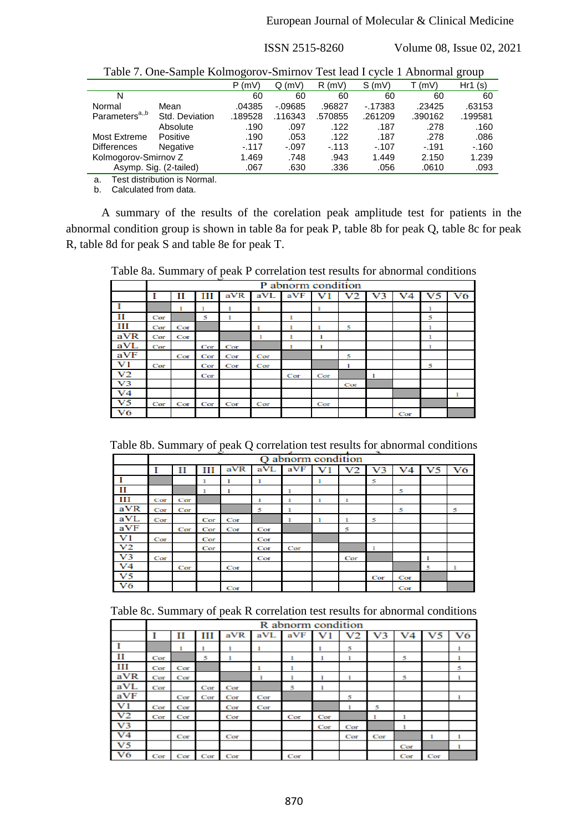|                            | There $\alpha$ , one sumple homiogolo $\alpha$ similar $\alpha$ restriction is reconsidered. |         |            |         |          |         |         |
|----------------------------|----------------------------------------------------------------------------------------------|---------|------------|---------|----------|---------|---------|
|                            |                                                                                              | P(mV)   | Q(mV)      | R(mV)   | S(mV)    | T (mV)  | Hr1(s)  |
| N                          |                                                                                              | 60      | 60         | 60      | 60       | 60      | 60      |
| Normal                     | Mean                                                                                         | .04385  | $-0.09685$ | .96827  | $-17383$ | .23425  | .63153  |
| Parameters <sup>a,,b</sup> | Std. Deviation                                                                               | .189528 | .116343    | .570855 | .261209  | .390162 | .199581 |
|                            | Absolute                                                                                     | .190    | .097       | .122    | .187     | .278    | .160    |
| <b>Most Extreme</b>        | Positive                                                                                     | .190    | .053       | .122    | .187     | .278    | .086    |
| <b>Differences</b>         | <b>Negative</b>                                                                              | $-.117$ | $-.097$    | $-113$  | $-.107$  | $-191$  | $-160$  |
| Kolmogorov-Smirnov Z       |                                                                                              | 1.469   | .748       | .943    | 1.449    | 2.150   | 1.239   |
|                            | Asymp. Sig. (2-tailed)                                                                       | .067    | .630       | .336    | .056     | .0610   | .093    |

Table 7. One-Sample Kolmogorov-Smirnov Test lead I cycle 1 Abnormal group

a. Test distribution is Normal.

b. Calculated from data.

A summary of the results of the corelation peak amplitude test for patients in the abnormal condition group is shown in table 8a for peak P, table 8b for peak Q, table 8c for peak R, table 8d for peak S and table 8e for peak T.

Table 8a. Summary of peak P correlation test results for abnormal conditions

|                |     | P abnorm condition |     |     |     |     |     |     |  |     |   |    |
|----------------|-----|--------------------|-----|-----|-----|-----|-----|-----|--|-----|---|----|
|                |     | П                  | ш   | aVR | aVL | aVF |     |     |  |     |   | V6 |
|                |     |                    |     |     |     |     |     |     |  |     |   |    |
| П              | Cor |                    | 5   | ı   |     |     |     |     |  |     | 5 |    |
| ш              | Cor | Cor                |     |     |     |     |     | 5   |  |     |   |    |
| aVR            | Cor | Cor                |     |     |     |     |     |     |  |     |   |    |
| aVL            | Cor |                    | Cor | Cor |     |     |     |     |  |     |   |    |
| aVF            |     | Cor                | Cor | Cor | Cor |     |     | 5   |  |     |   |    |
| $_{\rm V1}$    | Cor |                    | Cor | Cor | Cor |     |     |     |  |     | 5 |    |
| V2             |     |                    | Cor |     |     | Cor | Cor |     |  |     |   |    |
| V <sub>3</sub> |     |                    |     |     |     |     |     | Cor |  |     |   |    |
| V4             |     |                    |     |     |     |     |     |     |  |     |   |    |
| V5             | Cor | Cor                | Cor | Cor | Cor |     | Cor |     |  |     |   |    |
| V6             |     |                    |     |     |     |     |     |     |  | Cor |   |    |

Table 8b. Summary of peak Q correlation test results for abnormal conditions

|     |     | abnorm condition |     |     |     |     |   |     |         |     |    |    |
|-----|-----|------------------|-----|-----|-----|-----|---|-----|---------|-----|----|----|
|     |     | П                | ш   | aVR | aVL | aVF |   | V2  | V.<br>3 | V4  | V5 | V6 |
|     |     |                  |     |     | ٠   |     | ٠ |     | 5       |     |    |    |
| П   |     |                  |     |     |     |     |   |     |         | 5   |    |    |
| ш   | Cor | Cor              |     |     | ı   | ı   | 1 |     |         |     |    |    |
| aVR | Cor | Cor              |     |     | 5   |     |   |     |         | 5   |    | 5  |
| aVL | Cor |                  | Cor | Cor |     |     |   |     | 5       |     |    |    |
| aVF |     | Cor              | Cor | Cor | Cor |     |   | 5   |         |     |    |    |
| V1  | Cor |                  | Cor |     | Cor |     |   |     |         |     |    |    |
| V2  |     |                  | Cor |     | Cor | Cor |   |     |         |     |    |    |
| V3  | Cor |                  |     |     | Cor |     |   | Cor |         |     |    |    |
| V4  |     | Cor              |     | Cor |     |     |   |     |         |     | 5  |    |
| V5  |     |                  |     |     |     |     |   |     | Cor     | Cor |    |    |
| V6  |     |                  |     | Cor |     |     |   |     |         | Cor |    |    |

|  |  | Table 8c. Summary of peak R correlation test results for abnormal conditions |  |
|--|--|------------------------------------------------------------------------------|--|
|  |  |                                                                              |  |

|     |     | R abnorm condition |     |     |     |     |     |     |        |     |     |    |
|-----|-----|--------------------|-----|-----|-----|-----|-----|-----|--------|-----|-----|----|
|     |     | П                  | ш   | aVR | aVL | aVF |     | V2  | v<br>з |     | v   | V6 |
|     |     | ı                  |     |     |     |     |     | 5   |        |     |     |    |
| п   | Cor |                    | 5   |     |     |     |     |     |        | 5   |     |    |
| ш   | Cor | Cor                |     |     |     |     |     |     |        |     |     | 5  |
| aVR | Cor | Cor                |     |     |     |     |     |     |        | 5   |     |    |
| aVL | Cor |                    | Cor | Cor |     | 5   |     |     |        |     |     |    |
| aVF |     | Cor                | Cor | Cor | Cor |     |     | 5   |        |     |     |    |
| V1  | Cor | Cor                |     | Cor | Cor |     |     |     | 5      |     |     |    |
| V2  | Cor | Cor                |     | Cor |     | Cor | Cor |     |        |     |     |    |
| V3  |     |                    |     |     |     |     | Cor | Cor |        |     |     |    |
| V4  |     | Cor                |     | Cor |     |     |     | Cor | Cor    |     |     |    |
| V5  |     |                    |     |     |     |     |     |     |        | Cor |     |    |
| V6  | Cor | Cor                | Cor | Cor |     | Cor |     |     |        | Cor | Cor |    |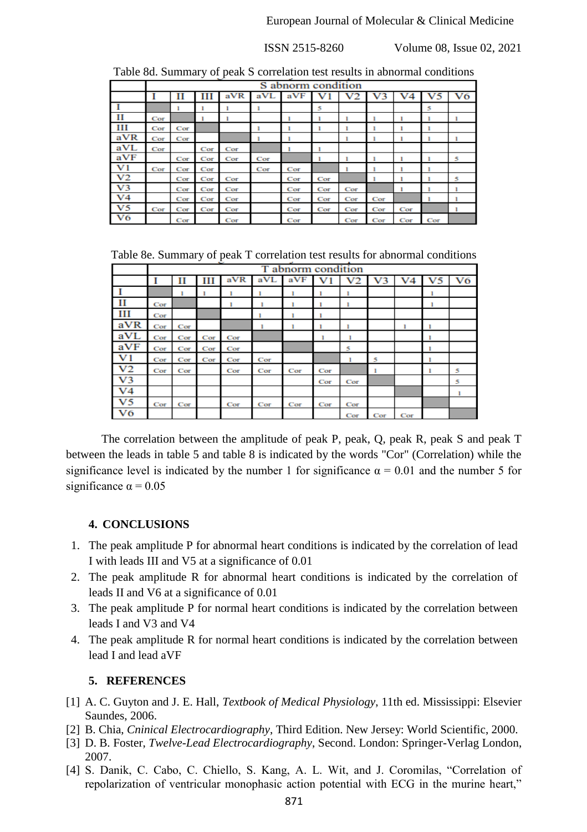|                | $\sim$<br>S abnorm condition |     |     |     |     |     |     |     |     |     |     |    |
|----------------|------------------------------|-----|-----|-----|-----|-----|-----|-----|-----|-----|-----|----|
|                |                              |     |     |     |     |     |     |     |     |     |     |    |
|                |                              | п   | ш   | aVR | aVL | aVF |     |     |     |     |     | V6 |
|                |                              |     |     |     | ı   |     | 5   |     |     |     | 5   |    |
| н              | Cor                          |     |     |     |     |     |     |     |     |     |     |    |
| ш              | Cor                          | Cor |     |     | ı   |     |     |     |     |     |     |    |
| aVR            | Cor                          | Cor |     |     |     |     |     |     |     |     |     |    |
| aVL            | Cor                          |     | Cor | Cor |     |     |     |     |     |     |     |    |
| aVF            |                              | Cor | Cor | Cor | Cor |     |     |     |     |     |     | 5  |
| V1             | Cor                          | Cor | Cor |     | Cor | Cor |     |     |     |     |     |    |
| V2             |                              | Cor | Cor | Cor |     | Cor | Cor |     |     |     |     | 5  |
| V <sub>3</sub> |                              | Cor | Cor | Cor |     | Cor | Cor | Cor |     |     |     |    |
| V4             |                              | Cor | Cor | Cor |     | Cor | Cor | Cor | Cor |     |     |    |
| V5             | Cor                          | Cor | Cor | Cor |     | Cor | Cor | Cor | Cor | Cor |     |    |
| V6             |                              | Cor |     | Cor |     | Cor |     | Cor | Cor | Cor | Cor |    |

Table 8d. Summary of peak S correlation test results in abnormal conditions

Table 8e. Summary of peak T correlation test results for abnormal conditions

|                | T abnorm condition |     |     |     |     |     |     |     |     |     |    |    |
|----------------|--------------------|-----|-----|-----|-----|-----|-----|-----|-----|-----|----|----|
|                |                    | п   | Ш   | aVR | aVL | aVF |     |     | з   | V4  | V5 | V6 |
|                |                    |     |     |     |     |     |     |     |     |     |    |    |
| - 11           | Cor                |     |     |     |     |     |     |     |     |     | 1  |    |
| ш              | Cor                |     |     |     |     |     |     |     |     |     |    |    |
| aVR            | Cor                | Cor |     |     |     |     |     |     |     |     |    |    |
| aVL            | Cor                | Cor | Cor | Cor |     |     |     |     |     |     |    |    |
| aVF            | Cor                | Cor | Cor | Cor |     |     |     | 5   |     |     |    |    |
| V <sub>1</sub> | Cor                | Cor | Cor | Cor | Cor |     |     |     | 5   |     |    |    |
| V2             | Cor                | Cor |     | Cor | Cor | Cor | Cor |     |     |     |    | 5  |
| V3             |                    |     |     |     |     |     | Cor | Cor |     |     |    | 5  |
| V4             |                    |     |     |     |     |     |     |     |     |     |    |    |
| V5             | Cor                | Cor |     | Cor | Cor | Cor | Cor | Cor |     |     |    |    |
| V6             |                    |     |     |     |     |     |     | Cor | Cor | Cor |    |    |

The correlation between the amplitude of peak P, peak, Q, peak R, peak S and peak T between the leads in table 5 and table 8 is indicated by the words "Cor" (Correlation) while the significance level is indicated by the number 1 for significance  $\alpha = 0.01$  and the number 5 for significance  $\alpha = 0.05$ 

## **4. CONCLUSIONS**

- 1. The peak amplitude P for abnormal heart conditions is indicated by the correlation of lead I with leads III and V5 at a significance of 0.01
- 2. The peak amplitude R for abnormal heart conditions is indicated by the correlation of leads II and V6 at a significance of 0.01
- 3. The peak amplitude P for normal heart conditions is indicated by the correlation between leads I and V3 and V4
- 4. The peak amplitude R for normal heart conditions is indicated by the correlation between lead I and lead aVF

# **5. REFERENCES**

- [1] A. C. Guyton and J. E. Hall, *Textbook of Medical Physiology*, 11th ed. Mississippi: Elsevier Saundes, 2006.
- [2] B. Chia, *Cninical Electrocardiography*, Third Edition. New Jersey: World Scientific, 2000.
- [3] D. B. Foster, *Twelve-Lead Electrocardiography*, Second. London: Springer-Verlag London, 2007.
- [4] S. Danik, C. Cabo, C. Chiello, S. Kang, A. L. Wit, and J. Coromilas, "Correlation of repolarization of ventricular monophasic action potential with ECG in the murine heart,"